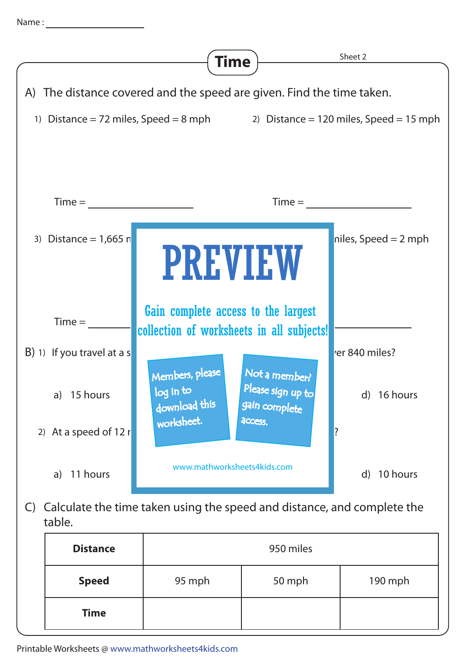

C) Calculate the time taken using the speed and distance, and complete the table.

| <b>Distance</b> | 950 miles |        |         |  |
|-----------------|-----------|--------|---------|--|
| <b>Speed</b>    | 95 mph    | 50 mph | 190 mph |  |
| <b>Time</b>     |           |        |         |  |